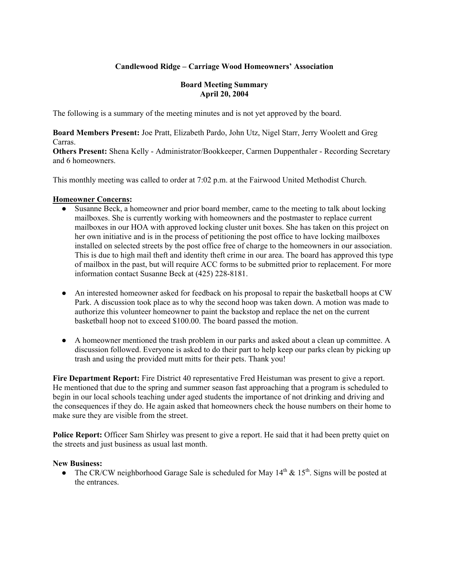# **Candlewood Ridge – Carriage Wood Homeowners' Association**

# **Board Meeting Summary April 20, 2004**

The following is a summary of the meeting minutes and is not yet approved by the board.

**Board Members Present:** Joe Pratt, Elizabeth Pardo, John Utz, Nigel Starr, Jerry Woolett and Greg Carras.

**Others Present:** Shena Kelly - Administrator/Bookkeeper, Carmen Duppenthaler - Recording Secretary and 6 homeowners.

This monthly meeting was called to order at 7:02 p.m. at the Fairwood United Methodist Church.

# **Homeowner Concerns:**

- Susanne Beck, a homeowner and prior board member, came to the meeting to talk about locking mailboxes. She is currently working with homeowners and the postmaster to replace current mailboxes in our HOA with approved locking cluster unit boxes. She has taken on this project on her own initiative and is in the process of petitioning the post office to have locking mailboxes installed on selected streets by the post office free of charge to the homeowners in our association. This is due to high mail theft and identity theft crime in our area. The board has approved this type of mailbox in the past, but will require ACC forms to be submitted prior to replacement. For more information contact Susanne Beck at (425) 228-8181.
- An interested homeowner asked for feedback on his proposal to repair the basketball hoops at CW Park. A discussion took place as to why the second hoop was taken down. A motion was made to authorize this volunteer homeowner to paint the backstop and replace the net on the current basketball hoop not to exceed \$100.00. The board passed the motion.
- A homeowner mentioned the trash problem in our parks and asked about a clean up committee. A discussion followed. Everyone is asked to do their part to help keep our parks clean by picking up trash and using the provided mutt mitts for their pets. Thank you!

**Fire Department Report:** Fire District 40 representative Fred Heistuman was present to give a report. He mentioned that due to the spring and summer season fast approaching that a program is scheduled to begin in our local schools teaching under aged students the importance of not drinking and driving and the consequences if they do. He again asked that homeowners check the house numbers on their home to make sure they are visible from the street.

**Police Report:** Officer Sam Shirley was present to give a report. He said that it had been pretty quiet on the streets and just business as usual last month.

# **New Business:**

• The CR/CW neighborhood Garage Sale is scheduled for May  $14<sup>th</sup>$  &  $15<sup>th</sup>$ . Signs will be posted at the entrances.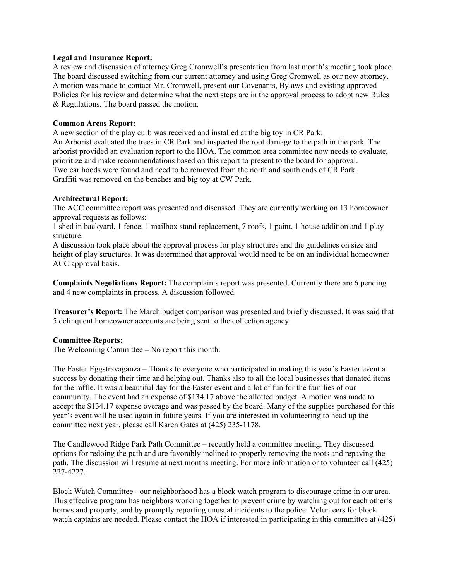#### **Legal and Insurance Report:**

A review and discussion of attorney Greg Cromwell's presentation from last month's meeting took place. The board discussed switching from our current attorney and using Greg Cromwell as our new attorney. A motion was made to contact Mr. Cromwell, present our Covenants, Bylaws and existing approved Policies for his review and determine what the next steps are in the approval process to adopt new Rules & Regulations. The board passed the motion.

#### **Common Areas Report:**

A new section of the play curb was received and installed at the big toy in CR Park. An Arborist evaluated the trees in CR Park and inspected the root damage to the path in the park. The arborist provided an evaluation report to the HOA. The common area committee now needs to evaluate, prioritize and make recommendations based on this report to present to the board for approval. Two car hoods were found and need to be removed from the north and south ends of CR Park. Graffiti was removed on the benches and big toy at CW Park.

#### **Architectural Report:**

The ACC committee report was presented and discussed. They are currently working on 13 homeowner approval requests as follows:

1 shed in backyard, 1 fence, 1 mailbox stand replacement, 7 roofs, 1 paint, 1 house addition and 1 play structure.

A discussion took place about the approval process for play structures and the guidelines on size and height of play structures. It was determined that approval would need to be on an individual homeowner ACC approval basis.

**Complaints Negotiations Report:** The complaints report was presented. Currently there are 6 pending and 4 new complaints in process. A discussion followed.

**Treasurer's Report:** The March budget comparison was presented and briefly discussed. It was said that 5 delinquent homeowner accounts are being sent to the collection agency.

# **Committee Reports:**

The Welcoming Committee – No report this month.

The Easter Eggstravaganza – Thanks to everyone who participated in making this year's Easter event a success by donating their time and helping out. Thanks also to all the local businesses that donated items for the raffle. It was a beautiful day for the Easter event and a lot of fun for the families of our community. The event had an expense of \$134.17 above the allotted budget. A motion was made to accept the \$134.17 expense overage and was passed by the board. Many of the supplies purchased for this year's event will be used again in future years. If you are interested in volunteering to head up the committee next year, please call Karen Gates at (425) 235-1178.

The Candlewood Ridge Park Path Committee – recently held a committee meeting. They discussed options for redoing the path and are favorably inclined to properly removing the roots and repaving the path. The discussion will resume at next months meeting. For more information or to volunteer call (425) 227-4227.

Block Watch Committee - our neighborhood has a block watch program to discourage crime in our area. This effective program has neighbors working together to prevent crime by watching out for each other's homes and property, and by promptly reporting unusual incidents to the police. Volunteers for block watch captains are needed. Please contact the HOA if interested in participating in this committee at (425)